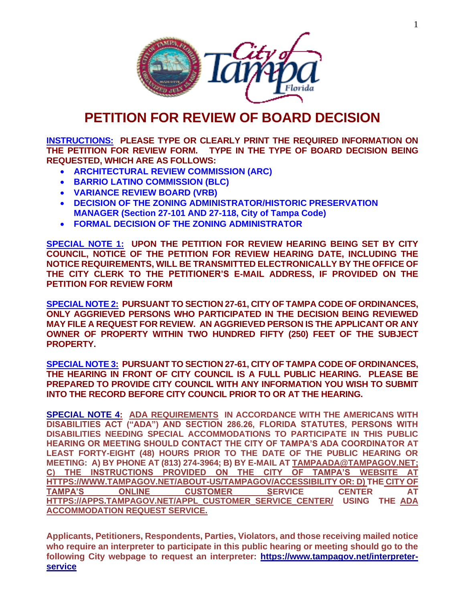

# **PETITION FOR REVIEW OF BOARD DECISION**

**INSTRUCTIONS: PLEASE TYPE OR CLEARLY PRINT THE REQUIRED INFORMATION ON THE PETITION FOR REVIEW FORM. TYPE IN THE TYPE OF BOARD DECISION BEING REQUESTED, WHICH ARE AS FOLLOWS:**

- **ARCHITECTURAL REVIEW COMMISSION (ARC)**
- **BARRIO LATINO COMMISSION (BLC)**
- **VARIANCE REVIEW BOARD (VRB)**
- **DECISION OF THE ZONING ADMINISTRATOR/HISTORIC PRESERVATION MANAGER (Section 27-101 AND 27-118, City of Tampa Code)**
- **FORMAL DECISION OF THE ZONING ADMINISTRATOR**

**SPECIAL NOTE 1: UPON THE PETITION FOR REVIEW HEARING BEING SET BY CITY COUNCIL, NOTICE OF THE PETITION FOR REVIEW HEARING DATE, INCLUDING THE NOTICE REQUIREMENTS, WILL BE TRANSMITTED ELECTRONICALLY BY THE OFFICE OF THE CITY CLERK TO THE PETITIONER'S E-MAIL ADDRESS, IF PROVIDED ON THE PETITION FOR REVIEW FORM**

**SPECIAL NOTE 2: PURSUANT TO SECTION 27-61, CITY OF TAMPA CODE OF ORDINANCES, ONLY AGGRIEVED PERSONS WHO PARTICIPATED IN THE DECISION BEING REVIEWED MAY FILE A REQUEST FOR REVIEW. AN AGGRIEVED PERSON IS THE APPLICANT OR ANY OWNER OF PROPERTY WITHIN TWO HUNDRED FIFTY (250) FEET OF THE SUBJECT PROPERTY.**

**SPECIAL NOTE 3: PURSUANT TO SECTION 27-61, CITY OF TAMPA CODE OF ORDINANCES, THE HEARING IN FRONT OF CITY COUNCIL IS A FULL PUBLIC HEARING. PLEASE BE PREPARED TO PROVIDE CITY COUNCIL WITH ANY INFORMATION YOU WISH TO SUBMIT INTO THE RECORD BEFORE CITY COUNCIL PRIOR TO OR AT THE HEARING.**

**SPECIAL NOTE 4: ADA REQUIREMENTS IN ACCORDANCE WITH THE AMERICANS WITH DISABILITIES ACT ("ADA") AND SECTION 286.26, FLORIDA STATUTES, PERSONS WITH DISABILITIES NEEDING SPECIAL ACCOMMODATIONS TO PARTICIPATE IN THIS PUBLIC HEARING OR MEETING SHOULD CONTACT THE CITY OF TAMPA'S ADA COORDINATOR AT LEAST FORTY-EIGHT (48) HOURS PRIOR TO THE DATE OF THE PUBLIC HEARING OR MEETING: A) BY PHONE AT (813) 274-3964; B) BY E-MAIL AT [TAMPAADA@TAMPAGOV.NET;](mailto:TampaADA@tampagov.net) C) THE INSTRUCTIONS PROVIDED ON THE CITY OF TAMPA'S WEBSITE AT [HTTPS://WWW.TAMPAGOV.NET/ABOUT-US/TAMPAGOV/ACCESSIBILITY](https://www.tampagov.net/ABOUT-US/TAMPAGOV/ACCESSIBILITY) OR: D) THE CITY OF TAMPA'S ONLINE CUSTOMER SERVICE CENTER AT [HTTPS://APPS.TAMPAGOV.NET/APPL\\_CUSTOMER\\_SERVICE\\_CENTER/](https://apps.tampagov.net/appl_customer_service_centeR/) USING THE [ADA](https://www.tampagov.net/msg?ID=823)  [ACCOMMODATION REQUEST SERVICE.](https://www.tampagov.net/msg?ID=823)** 

**Applicants, Petitioners, Respondents, Parties, Violators, and those receiving mailed notice who require an interpreter to participate in this public hearing or meeting should go to the following City webpage to request an interpreter: [https://www.tampagov.net/interpreter](https://www.tampagov.net/interpreter-service)[service](https://www.tampagov.net/interpreter-service)**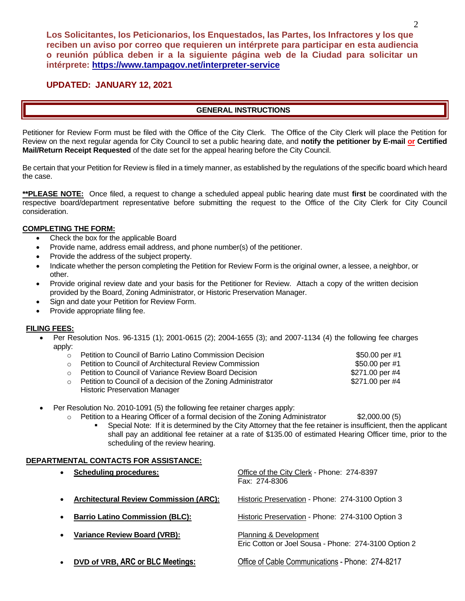## **UPDATED: JANUARY 12, 2021**

### **GENERAL INSTRUCTIONS**

Petitioner for Review Form must be filed with the Office of the City Clerk. The Office of the City Clerk will place the Petition for Review on the next regular agenda for City Council to set a public hearing date, and **notify the petitioner by E-mail or Certified Mail/Return Receipt Requested** of the date set for the appeal hearing before the City Council.

Be certain that your Petition for Review is filed in a timely manner, as established by the regulations of the specific board which heard the case.

**\*\*PLEASE NOTE:** Once filed, a request to change a scheduled appeal public hearing date must **first** be coordinated with the respective board/department representative before submitting the request to the Office of the City Clerk for City Council consideration.

#### **COMPLETING THE FORM:**

- Check the box for the applicable Board
- Provide name, address email address, and phone number(s) of the petitioner.
- Provide the address of the subject property.
- Indicate whether the person completing the Petition for Review Form is the original owner, a lessee, a neighbor, or other.
- Provide original review date and your basis for the Petitioner for Review. Attach a copy of the written decision provided by the Board, Zoning Administrator, or Historic Preservation Manager.
- Sign and date your Petition for Review Form.
- Provide appropriate filing fee.

#### **FILING FEES:**

- Per Resolution Nos. 96-1315 (1); 2001-0615 (2); 2004-1655 (3); and 2007-1134 (4) the following fee charges apply:
	- o Petition to Council of Barrio Latino Commission Decision **\$50.00 per #1** o Petition to Council of Architectural Review Commission \$50.00 per #1 o Petition to Council of Variance Review Board Decision **\$271.00 per #4**  $\circ$  Petition to Council of a decision of the Zoning Administrator  $$271.00$  per #4
	- Historic Preservation Manager
- Per Resolution No. 2010-1091 (5) the following fee retainer charges apply:
	- $\circ$  Petition to a Hearing Officer of a formal decision of the Zoning Administrator  $$2,000.00(5)$ 
		- Special Note: If it is determined by the City Attorney that the fee retainer is insufficient, then the applicant shall pay an additional fee retainer at a rate of \$135.00 of estimated Hearing Officer time, prior to the scheduling of the review hearing.

#### **DEPARTMENTAL CONTACTS FOR ASSISTANCE:**

| $\bullet$ | <b>Scheduling procedures:</b>                 | Office of the City Clerk - Phone: 274-8397<br>Fax: 274-8306                    |
|-----------|-----------------------------------------------|--------------------------------------------------------------------------------|
| $\bullet$ | <b>Architectural Review Commission (ARC):</b> | Historic Preservation - Phone: 274-3100 Option 3                               |
| ٠         | <b>Barrio Latino Commission (BLC):</b>        | Historic Preservation - Phone: 274-3100 Option 3                               |
| $\bullet$ | <b>Variance Review Board (VRB):</b>           | Planning & Development<br>Eric Cotton or Joel Sousa - Phone: 274-3100 Option 2 |
| $\bullet$ | DVD of VRB, ARC or BLC Meetings:              | Office of Cable Communications - Phone: 274-8217                               |